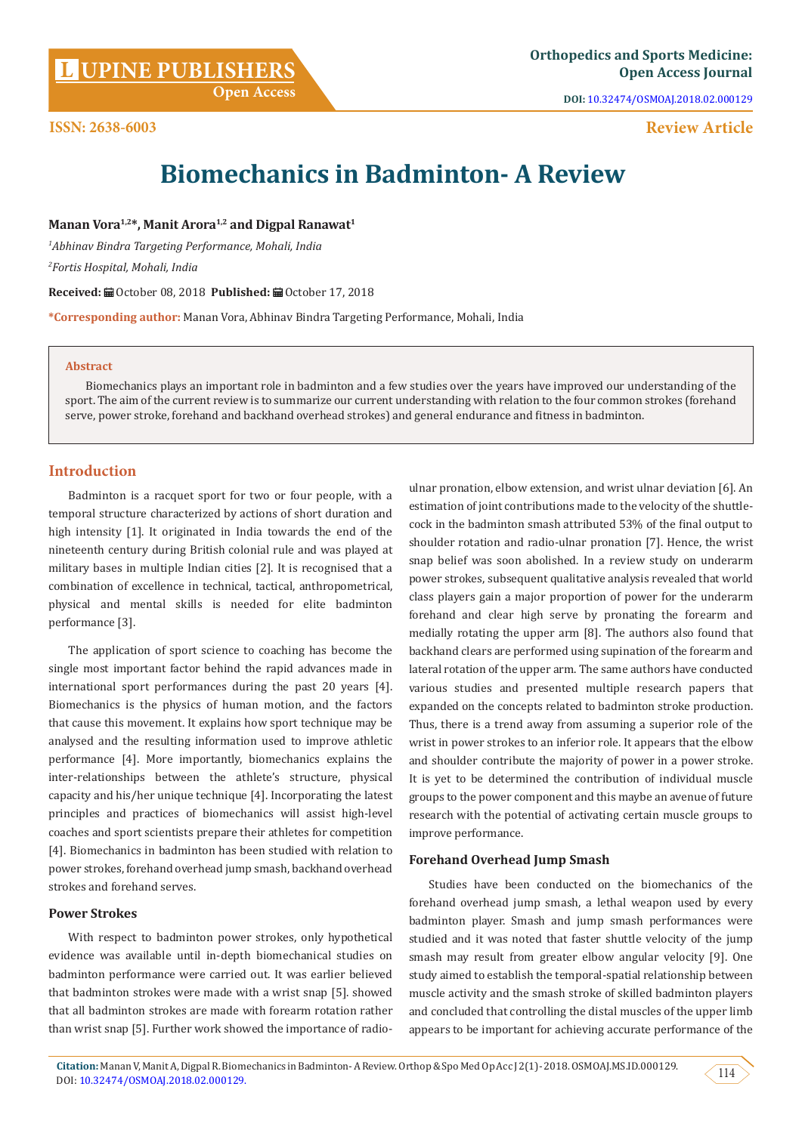**DOI:** [10.32474/OSMOAJ.2018.02.000129](http://dx.doi.org/10.32474/OSMOAJ.2018.02.000129)

**Review Article**

# **ISSN: 2638-6003**

**Biomechanics in Badminton- A Review**

Manan Vora<sup>1,2\*</sup>, Manit Arora<sup>1,2</sup> and Digpal Ranawat<sup>1</sup>

*1 Abhinav Bindra Targeting Performance, Mohali, India 2 Fortis Hospital, Mohali, India*

**Received:** ■ October 08, 2018 Published: ■ October 17, 2018

**\*Corresponding author:** Manan Vora, Abhinav Bindra Targeting Performance, Mohali, India

### **Abstract**

Biomechanics plays an important role in badminton and a few studies over the years have improved our understanding of the sport. The aim of the current review is to summarize our current understanding with relation to the four common strokes (forehand serve, power stroke, forehand and backhand overhead strokes) and general endurance and fitness in badminton.

# **Introduction**

Badminton is a racquet sport for two or four people, with a temporal structure characterized by actions of short duration and high intensity [1]. It originated in India towards the end of the nineteenth century during British colonial rule and was played at military bases in multiple Indian cities [2]. It is recognised that a combination of excellence in technical, tactical, anthropometrical, physical and mental skills is needed for elite badminton performance [3].

The application of sport science to coaching has become the single most important factor behind the rapid advances made in international sport performances during the past 20 years [4]. Biomechanics is the physics of human motion, and the factors that cause this movement. It explains how sport technique may be analysed and the resulting information used to improve athletic performance [4]. More importantly, biomechanics explains the inter-relationships between the athlete's structure, physical capacity and his/her unique technique [4]. Incorporating the latest principles and practices of biomechanics will assist high-level coaches and sport scientists prepare their athletes for competition [4]. Biomechanics in badminton has been studied with relation to power strokes, forehand overhead jump smash, backhand overhead strokes and forehand serves.

## **Power Strokes**

With respect to badminton power strokes, only hypothetical evidence was available until in-depth biomechanical studies on badminton performance were carried out. It was earlier believed that badminton strokes were made with a wrist snap [5]. showed that all badminton strokes are made with forearm rotation rather than wrist snap [5]. Further work showed the importance of radioulnar pronation, elbow extension, and wrist ulnar deviation [6]. An estimation of joint contributions made to the velocity of the shuttlecock in the badminton smash attributed 53% of the final output to shoulder rotation and radio-ulnar pronation [7]. Hence, the wrist snap belief was soon abolished. In a review study on underarm power strokes, subsequent qualitative analysis revealed that world class players gain a major proportion of power for the underarm forehand and clear high serve by pronating the forearm and medially rotating the upper arm [8]. The authors also found that backhand clears are performed using supination of the forearm and lateral rotation of the upper arm. The same authors have conducted various studies and presented multiple research papers that expanded on the concepts related to badminton stroke production. Thus, there is a trend away from assuming a superior role of the wrist in power strokes to an inferior role. It appears that the elbow and shoulder contribute the majority of power in a power stroke. It is yet to be determined the contribution of individual muscle groups to the power component and this maybe an avenue of future research with the potential of activating certain muscle groups to improve performance.

## **Forehand Overhead Jump Smash**

Studies have been conducted on the biomechanics of the forehand overhead jump smash, a lethal weapon used by every badminton player. Smash and jump smash performances were studied and it was noted that faster shuttle velocity of the jump smash may result from greater elbow angular velocity [9]. One study aimed to establish the temporal-spatial relationship between muscle activity and the smash stroke of skilled badminton players and concluded that controlling the distal muscles of the upper limb appears to be important for achieving accurate performance of the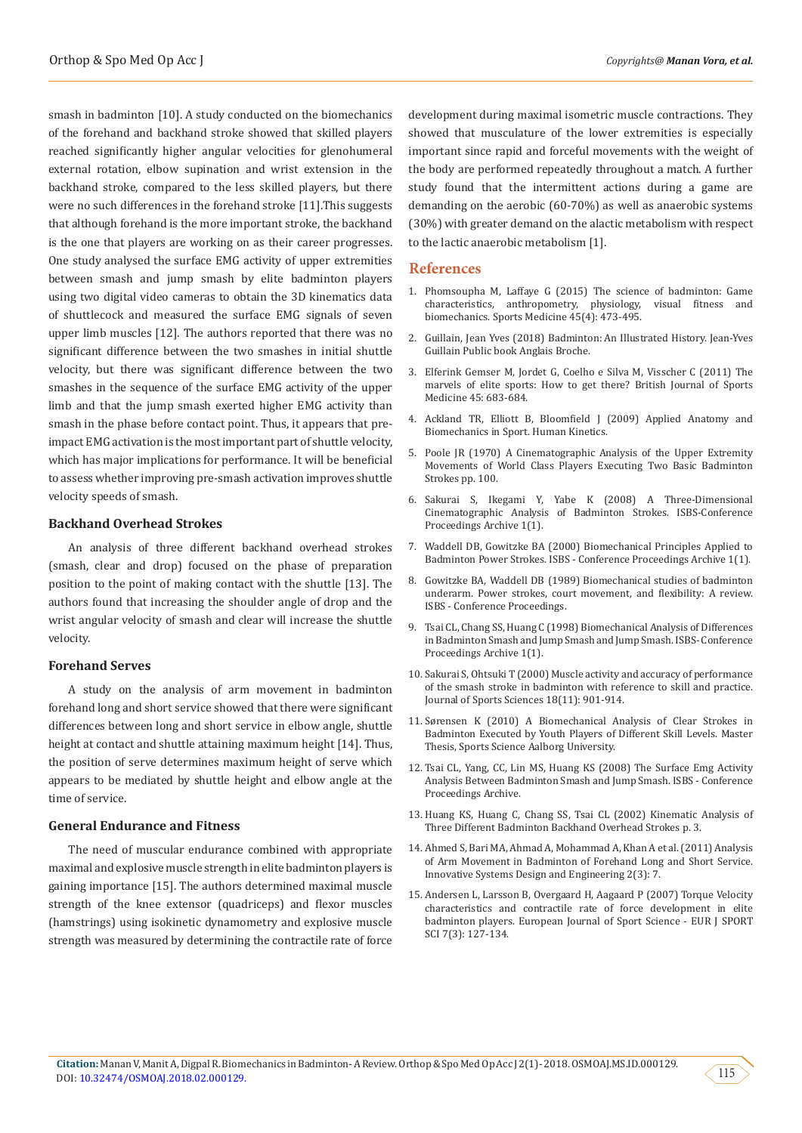smash in badminton [10]. A study conducted on the biomechanics of the forehand and backhand stroke showed that skilled players reached significantly higher angular velocities for glenohumeral external rotation, elbow supination and wrist extension in the backhand stroke, compared to the less skilled players, but there were no such differences in the forehand stroke [11].This suggests that although forehand is the more important stroke, the backhand is the one that players are working on as their career progresses. One study analysed the surface EMG activity of upper extremities between smash and jump smash by elite badminton players using two digital video cameras to obtain the 3D kinematics data of shuttlecock and measured the surface EMG signals of seven upper limb muscles [12]. The authors reported that there was no significant difference between the two smashes in initial shuttle velocity, but there was significant difference between the two smashes in the sequence of the surface EMG activity of the upper limb and that the jump smash exerted higher EMG activity than smash in the phase before contact point. Thus, it appears that preimpact EMG activation is the most important part of shuttle velocity, which has major implications for performance. It will be beneficial to assess whether improving pre-smash activation improves shuttle velocity speeds of smash.

### **Backhand Overhead Strokes**

An analysis of three different backhand overhead strokes (smash, clear and drop) focused on the phase of preparation position to the point of making contact with the shuttle [13]. The authors found that increasing the shoulder angle of drop and the wrist angular velocity of smash and clear will increase the shuttle velocity.

#### **Forehand Serves**

A study on the analysis of arm movement in badminton forehand long and short service showed that there were significant differences between long and short service in elbow angle, shuttle height at contact and shuttle attaining maximum height [14]. Thus, the position of serve determines maximum height of serve which appears to be mediated by shuttle height and elbow angle at the time of service.

## **General Endurance and Fitness**

The need of muscular endurance combined with appropriate maximal and explosive muscle strength in elite badminton players is gaining importance [15]. The authors determined maximal muscle strength of the knee extensor (quadriceps) and flexor muscles (hamstrings) using isokinetic dynamometry and explosive muscle strength was measured by determining the contractile rate of force

development during maximal isometric muscle contractions. They showed that musculature of the lower extremities is especially important since rapid and forceful movements with the weight of the body are performed repeatedly throughout a match. A further study found that the intermittent actions during a game are demanding on the aerobic (60-70%) as well as anaerobic systems (30%) with greater demand on the alactic metabolism with respect to the lactic anaerobic metabolism [1].

#### **References**

- 1. [Phomsoupha M, Laffaye G \(2015\) The science of badminton: Game](https://www.ncbi.nlm.nih.gov/pubmed/25549780) [characteristics, anthropometry, physiology, visual fitness and](https://www.ncbi.nlm.nih.gov/pubmed/25549780) [biomechanics. Sports Medicine 45\(4\): 473-495.](https://www.ncbi.nlm.nih.gov/pubmed/25549780)
- 2. Guillain, Jean Yves (2018) Badminton: An Illustrated History. Jean-Yves Guillain Public book Anglais Broche.
- 3. [Elferink Gemser M, Jordet G, Coelho e Silva M, Visscher C \(2011\) The](https://www.ncbi.nlm.nih.gov/pubmed/21685508) [marvels of elite sports: How to get there? British Journal of Sports](https://www.ncbi.nlm.nih.gov/pubmed/21685508) [Medicine 45: 683-684.](https://www.ncbi.nlm.nih.gov/pubmed/21685508)
- 4. Ackland TR, Elliott B, Bloomfield J (2009) Applied Anatomy and Biomechanics in Sport. Human Kinetics.
- 5. [Poole JR \(1970\) A Cinematographic Analysis of the Upper Extremity](https://digitalcommons.lsu.edu/cgi/viewcontent.cgi?referer=https://www.google.com/&httpsredir=1&article=2878&context=gradschool_disstheses) [Movements of World Class Players Executing Two Basic Badminton](https://digitalcommons.lsu.edu/cgi/viewcontent.cgi?referer=https://www.google.com/&httpsredir=1&article=2878&context=gradschool_disstheses) [Strokes pp. 100.](https://digitalcommons.lsu.edu/cgi/viewcontent.cgi?referer=https://www.google.com/&httpsredir=1&article=2878&context=gradschool_disstheses)
- 6. [Sakurai S, Ikegami Y, Yabe K \(2008\) A Three-Dimensional](https://ojs.ub.uni-konstanz.de/cpa/article/view/2333) [Cinematographic Analysis of Badminton Strokes. ISBS-Conference](https://ojs.ub.uni-konstanz.de/cpa/article/view/2333) [Proceedings Archive 1\(1\).](https://ojs.ub.uni-konstanz.de/cpa/article/view/2333)
- 7. [Waddell DB, Gowitzke BA \(2000\) Biomechanical Principles Applied to](https://ojs.ub.uni-konstanz.de/cpa/article/view/2233) [Badminton Power Strokes. ISBS - Conference Proceedings Archive 1\(1\).](https://ojs.ub.uni-konstanz.de/cpa/article/view/2233)
- 8. [Gowitzke BA, Waddell DB \(1989\) Biomechanical studies of badminton](https://ojs.ub.uni-konstanz.de/cpa/article/view/2662) [underarm. Power strokes, court movement, and flexibility: A review.](https://ojs.ub.uni-konstanz.de/cpa/article/view/2662) [ISBS - Conference Proceedings.](https://ojs.ub.uni-konstanz.de/cpa/article/view/2662)
- 9. [Tsai CL, Chang SS, Huang C \(1998\) Biomechanical Analysis of Differences](https://ojs.ub.uni-konstanz.de/cpa/article/view/990) [in Badminton Smash and Jump Smash and Jump Smash. ISBS- Conference](https://ojs.ub.uni-konstanz.de/cpa/article/view/990) [Proceedings Archive 1\(1\).](https://ojs.ub.uni-konstanz.de/cpa/article/view/990)
- 10. [Sakurai S, Ohtsuki T \(2000\) Muscle activity and accuracy of performance](https://www.tandfonline.com/doi/abs/10.1080/026404100750017832) [of the smash stroke in badminton with reference to skill and practice.](https://www.tandfonline.com/doi/abs/10.1080/026404100750017832) [Journal of Sports Sciences 18\(11\): 901-914.](https://www.tandfonline.com/doi/abs/10.1080/026404100750017832)
- 11. [Sørensen K \(2010\) A Biomechanical Analysis of Clear Strokes in](https://www.semanticscholar.org/paper/A-Biomechanical-Analysis-of-Clear-Strokes-in-by-of-S%C3%B8rensen-Zee/7f81f86e7eab7d859d679effa320955edc39c1d6) [Badminton Executed by Youth Players of Different Skill Levels. Master](https://www.semanticscholar.org/paper/A-Biomechanical-Analysis-of-Clear-Strokes-in-by-of-S%C3%B8rensen-Zee/7f81f86e7eab7d859d679effa320955edc39c1d6) [Thesis, Sports Science Aalborg University.](https://www.semanticscholar.org/paper/A-Biomechanical-Analysis-of-Clear-Strokes-in-by-of-S%C3%B8rensen-Zee/7f81f86e7eab7d859d679effa320955edc39c1d6)
- 12. [Tsai CL, Yang, CC, Lin MS, Huang KS \(2008\) The Surface Emg Activity](https://ojs.ub.uni-konstanz.de/cpa/article/view/990https:/search.hfreeforms.co/?uc=20181011&ad=appfocus1&source=d-ccc1-lp0-bb9&uid=46669c4e-8ef7-498c-a9d8-4ffaef515ab7&i_id=forms_100.7&page=newtab&) [Analysis Between Badminton Smash and Jump Smash. ISBS - Conference](https://ojs.ub.uni-konstanz.de/cpa/article/view/990https:/search.hfreeforms.co/?uc=20181011&ad=appfocus1&source=d-ccc1-lp0-bb9&uid=46669c4e-8ef7-498c-a9d8-4ffaef515ab7&i_id=forms_100.7&page=newtab&) [Proceedings Archive.](https://ojs.ub.uni-konstanz.de/cpa/article/view/990https:/search.hfreeforms.co/?uc=20181011&ad=appfocus1&source=d-ccc1-lp0-bb9&uid=46669c4e-8ef7-498c-a9d8-4ffaef515ab7&i_id=forms_100.7&page=newtab&)
- 13. [Huang KS, Huang C, Chang SS, Tsai CL \(2002\) Kinematic Analysis of](https://ojs.ub.uni-konstanz.de/cpa/article/viewFile/686/606) [Three Different Badminton Backhand Overhead Strokes p. 3.](https://ojs.ub.uni-konstanz.de/cpa/article/viewFile/686/606)
- 14. [Ahmed S, Bari MA, Ahmad A, Mohammad A, Khan A et al. \(2011\) Analysis](https://www.researchgate.net/publication/277754659_Analysis_of_Arm_Movement_in_Badminton_of_ForehandLong_and_Short_Service) [of Arm Movement in Badminton of Forehand Long and Short Service.](https://www.researchgate.net/publication/277754659_Analysis_of_Arm_Movement_in_Badminton_of_ForehandLong_and_Short_Service) [Innovative Systems Design and Engineering 2\(3\): 7.](https://www.researchgate.net/publication/277754659_Analysis_of_Arm_Movement_in_Badminton_of_ForehandLong_and_Short_Service)
- 15. [Andersen L, Larsson B, Overgaard H, Aagaard P \(2007\) Torque Velocity](https://www.tandfonline.com/doi/abs/10.1080/17461390701579584) [characteristics and contractile rate of force development in elite](https://www.tandfonline.com/doi/abs/10.1080/17461390701579584) [badminton players. European Journal of Sport Science - EUR J SPORT](https://www.tandfonline.com/doi/abs/10.1080/17461390701579584) [SCI 7\(3\): 127-134.](https://www.tandfonline.com/doi/abs/10.1080/17461390701579584)